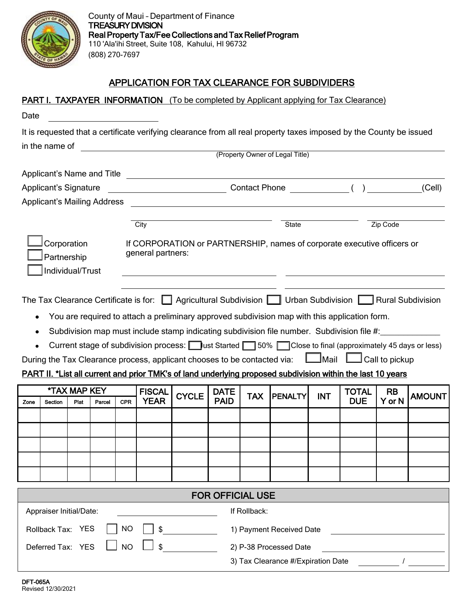

## APPLICATION FOR TAX CLEARANCE FOR SUBDIVIDERS

| Date                                           |                                                                                                                                                                                                                                                                                                                                                                                                                      |              |        |            |                                                                                              |              |                         |                        | <b>PART I. TAXPAYER INFORMATION</b> (To be completed by Applicant applying for Tax Clearance)                                                                                                                   |            |              |           |               |  |
|------------------------------------------------|----------------------------------------------------------------------------------------------------------------------------------------------------------------------------------------------------------------------------------------------------------------------------------------------------------------------------------------------------------------------------------------------------------------------|--------------|--------|------------|----------------------------------------------------------------------------------------------|--------------|-------------------------|------------------------|-----------------------------------------------------------------------------------------------------------------------------------------------------------------------------------------------------------------|------------|--------------|-----------|---------------|--|
|                                                |                                                                                                                                                                                                                                                                                                                                                                                                                      |              |        |            |                                                                                              |              |                         |                        |                                                                                                                                                                                                                 |            |              |           |               |  |
|                                                |                                                                                                                                                                                                                                                                                                                                                                                                                      |              |        |            |                                                                                              |              |                         |                        | It is requested that a certificate verifying clearance from all real property taxes imposed by the County be issued                                                                                             |            |              |           |               |  |
|                                                | in the name of                                                                                                                                                                                                                                                                                                                                                                                                       |              |        |            | <u> 1980 - Jan Barat, martin a</u><br>(Property Owner of Legal Title)                        |              |                         |                        |                                                                                                                                                                                                                 |            |              |           |               |  |
|                                                |                                                                                                                                                                                                                                                                                                                                                                                                                      |              |        |            |                                                                                              |              |                         |                        |                                                                                                                                                                                                                 |            |              |           |               |  |
|                                                | Applicant's Name and Title                                                                                                                                                                                                                                                                                                                                                                                           |              |        |            | (Cell)                                                                                       |              |                         |                        |                                                                                                                                                                                                                 |            |              |           |               |  |
|                                                | <b>Applicant's Signature</b>                                                                                                                                                                                                                                                                                                                                                                                         |              |        |            |                                                                                              |              |                         |                        |                                                                                                                                                                                                                 |            |              |           |               |  |
|                                                | <b>Applicant's Mailing Address</b>                                                                                                                                                                                                                                                                                                                                                                                   |              |        |            |                                                                                              |              |                         |                        |                                                                                                                                                                                                                 |            |              |           |               |  |
|                                                |                                                                                                                                                                                                                                                                                                                                                                                                                      |              |        |            | City                                                                                         |              |                         | State                  |                                                                                                                                                                                                                 |            | Zip Code     |           |               |  |
| Corporation<br>Partnership<br>Individual/Trust |                                                                                                                                                                                                                                                                                                                                                                                                                      |              |        |            | If CORPORATION or PARTNERSHIP, names of corporate executive officers or<br>general partners: |              |                         |                        |                                                                                                                                                                                                                 |            |              |           |               |  |
|                                                | The Tax Clearance Certificate is for:   Agricultural Subdivision   Urban Subdivision   Rural Subdivision<br>You are required to attach a preliminary approved subdivision map with this application form.<br>Subdivision map must include stamp indicating subdivision file number. Subdivision file #:<br>٠<br>Current stage of subdivision process: ust Started 50% Close to final (approximately 45 days or less) |              |        |            |                                                                                              |              |                         |                        |                                                                                                                                                                                                                 |            |              |           |               |  |
|                                                |                                                                                                                                                                                                                                                                                                                                                                                                                      |              |        |            |                                                                                              |              |                         |                        | During the Tax Clearance process, applicant chooses to be contacted via: LAMail LACall to pickup<br>PART II. *List all current and prior TMK's of land underlying proposed subdivision within the last 10 years |            |              |           |               |  |
|                                                |                                                                                                                                                                                                                                                                                                                                                                                                                      | *TAX MAP KEY |        |            | <b>FISCAL</b>                                                                                | <b>CYCLE</b> | <b>DATE</b>             | <b>TAX</b>             | <b>PENALTY</b>                                                                                                                                                                                                  | <b>INT</b> | <b>TOTAL</b> | <b>RB</b> | <b>AMOUNT</b> |  |
| Zone                                           | Section                                                                                                                                                                                                                                                                                                                                                                                                              | Plat         | Parcel | <b>CPR</b> | <b>YEAR</b>                                                                                  |              | <b>PAID</b>             |                        |                                                                                                                                                                                                                 |            | <b>DUE</b>   | Y or N    |               |  |
|                                                |                                                                                                                                                                                                                                                                                                                                                                                                                      |              |        |            |                                                                                              |              |                         |                        |                                                                                                                                                                                                                 |            |              |           |               |  |
|                                                |                                                                                                                                                                                                                                                                                                                                                                                                                      |              |        |            |                                                                                              |              |                         |                        |                                                                                                                                                                                                                 |            |              |           |               |  |
|                                                |                                                                                                                                                                                                                                                                                                                                                                                                                      |              |        |            |                                                                                              |              |                         |                        |                                                                                                                                                                                                                 |            |              |           |               |  |
|                                                |                                                                                                                                                                                                                                                                                                                                                                                                                      |              |        |            |                                                                                              |              |                         |                        |                                                                                                                                                                                                                 |            |              |           |               |  |
|                                                |                                                                                                                                                                                                                                                                                                                                                                                                                      |              |        |            |                                                                                              |              |                         |                        |                                                                                                                                                                                                                 |            |              |           |               |  |
|                                                |                                                                                                                                                                                                                                                                                                                                                                                                                      |              |        |            |                                                                                              |              | <b>FOR OFFICIAL USE</b> |                        |                                                                                                                                                                                                                 |            |              |           |               |  |
|                                                | Appraiser Initial/Date:                                                                                                                                                                                                                                                                                                                                                                                              |              |        |            |                                                                                              |              |                         | If Rollback:           |                                                                                                                                                                                                                 |            |              |           |               |  |
|                                                | Rollback Tax: YES                                                                                                                                                                                                                                                                                                                                                                                                    |              |        | <b>NO</b>  | \$                                                                                           |              |                         |                        | 1) Payment Received Date                                                                                                                                                                                        |            |              |           |               |  |
|                                                |                                                                                                                                                                                                                                                                                                                                                                                                                      |              |        |            |                                                                                              |              |                         | 2) P-38 Processed Date |                                                                                                                                                                                                                 |            |              |           |               |  |
|                                                | Deferred Tax: YES                                                                                                                                                                                                                                                                                                                                                                                                    |              |        | <b>NO</b>  | \$                                                                                           |              |                         |                        |                                                                                                                                                                                                                 |            |              |           |               |  |
|                                                |                                                                                                                                                                                                                                                                                                                                                                                                                      |              |        |            |                                                                                              |              |                         |                        | 3) Tax Clearance #/Expiration Date                                                                                                                                                                              |            |              |           |               |  |